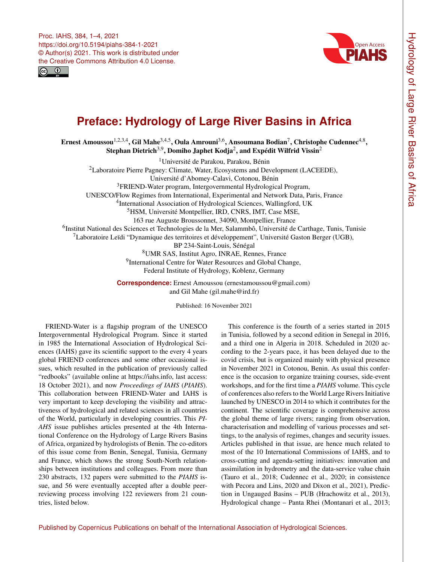



## **Preface: Hydrology of Large River Basins in Africa**

Ernest Amoussou $^{1,2,3,4}$  $^{1,2,3,4}$  $^{1,2,3,4}$ , Gil Mahe $^{3,4,5}$  $^{3,4,5}$  $^{3,4,5}$ , Oula Amrouni $^{3,6}$  $^{3,6}$  $^{3,6}$ , Ansoumana Bodian $^7$  $^7$ , Christophe Cudennec $^{4,8},$  $^{4,8},$  $^{4,8},$ Stephan Dietrich $^{3,9}$  $^{3,9}$  $^{3,9}$ , Domiho Japhet Kodja $^2$  $^2$ , and Expédit Wilfrid Vissin $^2$ 

<sup>1</sup>Université de Parakou, Parakou, Bénin <sup>2</sup>Laboratoire Pierre Pagney: Climate, Water, Ecosystems and Development (LACEEDE), Université d'Abomey-Calavi, Cotonou, Bénin <sup>3</sup>FRIEND-Water program, Intergovernmental Hydrological Program, UNESCO/Flow Regimes from International, Experimental and Network Data, Paris, France 4 International Association of Hydrological Sciences, Wallingford, UK <sup>5</sup>HSM, Université Montpellier, IRD, CNRS, IMT, Case MSE, 163 rue Auguste Broussonnet, 34090, Montpellier, France <sup>6</sup>Institut National des Sciences et Technologies de la Mer, Salammbô, Université de Carthage, Tunis, Tunisie  ${}^{7}$ Laboratoire Leïdi "Dynamique des territoires et développement", Université Gaston Berger (UGB), BP 234-Saint-Louis, Sénégal <sup>8</sup>UMR SAS, Institut Agro, INRAE, Rennes, France <sup>9</sup>International Centre for Water Resources and Global Change, Federal Institute of Hydrology, Koblenz, Germany

**Correspondence:** Ernest Amoussou (ernestamoussou@gmail.com) and Gil Mahe (gil.mahe@ird.fr)

Published: 16 November 2021

<span id="page-0-0"></span>FRIEND-Water is a flagship program of the UNESCO Intergovernmental Hydrological Program. Since it started in 1985 the International Association of Hydrological Sciences (IAHS) gave its scientific support to the every 4 years global FRIEND conferences and some other occasional issues, which resulted in the publication of previously called "redbooks" (available online at [https://iahs.info,](https://iahs.info) last access: 18 October 2021), and now *Proceedings of IAHS* (*PIAHS*). This collaboration between FRIEND-Water and IAHS is very important to keep developing the visibility and attractiveness of hydrological and related sciences in all countries of the World, particularly in developing countries. This *PI-AHS* issue publishes articles presented at the 4th International Conference on the Hydrology of Large Rivers Basins of Africa, organized by hydrologists of Benin. The co-editors of this issue come from Benin, Senegal, Tunisia, Germany and France, which shows the strong South-North relationships between institutions and colleagues. From more than 230 abstracts, 132 papers were submitted to the *PIAHS* issue, and 56 were eventually accepted after a double peerreviewing process involving 122 reviewers from 21 countries, listed below.

This conference is the fourth of a series started in 2015 in Tunisia, followed by a second edition in Senegal in 2016, and a third one in Algeria in 2018. Scheduled in 2020 according to the 2-years pace, it has been delayed due to the covid crisis, but is organized mainly with physical presence in November 2021 in Cotonou, Benin. As usual this conference is the occasion to organize training courses, side-event workshops, and for the first time a *PIAHS* volume. This cycle of conferences also refers to the World Large Rivers Initiative launched by UNESCO in 2014 to which it contributes for the continent. The scientific coverage is comprehensive across the global theme of large rivers; ranging from observation, characterisation and modelling of various processes and settings, to the analysis of regimes, changes and security issues. Articles published in that issue, are hence much related to most of the 10 International Commissions of IAHS, and to cross-cutting and agenda-setting initiatives: innovation and assimilation in hydrometry and the data-service value chain (Tauro et al., 2018; Cudennec et al., 2020; in consistence with Pecora and Lins, 2020 and Dixon et al., 2021), Prediction in Ungauged Basins – PUB (Hrachowitz et al., 2013), Hydrological change – Panta Rhei (Montanari et al., 2013;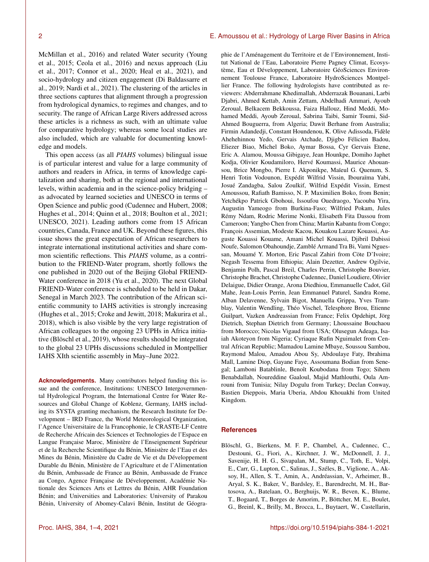McMillan et al., 2016) and related Water security (Young et al., 2015; Ceola et al., 2016) and nexus approach (Liu et al., 2017; Connor et al., 2020; Heal et al., 2021), and socio-hydrology and citizen engagement (Di Baldassarre et al., 2019; Nardi et al., 2021). The clustering of the articles in three sections captures that alignment through a progression from hydrological dynamics, to regimes and changes, and to security. The range of African Large Rivers addressed across these articles is a richness as such, with an ultimate value for comparative hydrology; whereas some local studies are also included, which are valuable for documenting knowledge and models.

This open access (as all *PIAHS* volumes) bilingual issue is of particular interest and value for a large community of authors and readers in Africa, in terms of knowledge capitalization and sharing, both at the regional and international levels, within academia and in the science-policy bridging – as advocated by learned societies and UNESCO in terms of Open Science and public good (Cudennec and Hubert, 2008; Hughes et al., 2014; Quinn et al., 2018; Boulton et al., 2021; UNESCO, 2021). Leading authors come from 15 African countries, Canada, France and UK. Beyond these figures, this issue shows the great expectation of African researchers to integrate international institutional activities and share common scientific reflections. This *PIAHS* volume, as a contribution to the FRIEND-Water program, shortly follows the one published in 2020 out of the Beijing Global FRIEND-Water conference in 2018 (Yu et al., 2020). The next Global FRIEND-Water conference is scheduled to be held in Dakar, Senegal in March 2023. The contribution of the African scientific community to IAHS activities is strongly increasing (Hughes et al., 2015; Croke and Jewitt, 2018; Makurira et al., 2018), which is also visible by the very large registration of African colleagues to the ongoing 23 UPHs in Africa initiative (Blöschl et al., 2019), whose results should be integrated to the global 23 UPHs discussions scheduled in Montpellier IAHS XIth scientific assembly in May–June 2022.

**Acknowledgements.** Many contributors helped funding this issue and the conference, Institutions: UNESCO Intergovernmental Hydrological Program, the International Centre for Water Resources and Global Change of Koblenz, Germany, IAHS including its SYSTA granting mechanism, the Research Institute for Development – IRD France, the World Meteorological Organization, l'Agence Universitaire de la Francophonie, le CRASTE-LF Centre de Recherche Africain des Sciences et Technologies de l'Espace en Langue Française Maroc, Ministère de l'Enseignement Supérieur et de la Recherche Scientifique du Bénin, Ministère de l'Eau et des Mines du Bénin, Ministère du Cadre de Vie et du Développement Durable du Bénin, Ministère de l'Agriculture et de l'Alimentation du Bénin, Ambassade de France au Bénin, Ambassade de France au Congo, Agence Française de Développement, Académie Nationale des Sciences Arts et Lettres du Bénin, AHR Foundation Bénin; and Universities and Laboratories: University of Parakou Bénin, University of Abomey-Calavi Bénin, Institut de Géogra-

phie de l'Aménagement du Territoire et de l'Environnement, Institut National de l'Eau, Laboratoire Pierre Pagney Climat, Ecosystème, Eau et Développement, Laboratoire GéoSciences Environnement Toulouse France, Laboratoire HydroSciences Montpellier France. The following hydrologists have contributed as reviewers: Abderrahmane Khedimallah, Abderrazak Bouanani, Larbi Djabri, Ahmed Kettab, Amin Zettam, Abdelhadi Ammari, Ayoub Zeroual, Belkacem Bekkoussa, Faiza Hallouz, Hind Meddi, Mohamed Meddi, Ayoub Zeroual, Sabrina Taibi, Samir Toumi, Sid-Ahmed Bouguerra, from Algeria; Dawit Berhane from Australia; Firmin Adandedji, Constant Houndenou, K. Olive Adissoda, Fidèle Ahehehinnou Yedo, Gervais Atchade, Djigbo Félicien Badou, Eliezer Biao, Michel Boko, Aymar Bossa, Cyr Gervais Etene, Eric A. Alamou, Moussa Gibigaye, Jean Hounkpe, Domiho Japhet Kodja, Olivier Koudamiloro, Hervé Koumassi, Maurice Ahouansou, Brice Mongbo, Pierre I. Akponikpe, Maïeul G. Quenum, S. Henri Totin Vodounon, Expédit Wilfrid Vissin, Ibouraïma Yabi, Josué Zandagba, Salou Zoulkif, Wilfrid Expédit Vissin, Ernest Amoussou, Rafiath Bamisso, N. P. Maximilien Boko, from Benin; Yetchékpo Patrick Gbohoui, Issoufou Ouedraogo, Yacouba Yira, Augustin Yameogo from Burkina-Faso; Wilfried Pokam, Jules Rémy Ndam, Rodric Merime Nonki, Elisabeth Fita Dassou from Cameroon; Yangbo Chen from China; Martin Kabantu from Congo; François Assemian, Modeste Kacou, Kouakou Lazare Kouassi, Auguste Kouassi Kouame, Amani Michel Kouassi, Djibril Dabissi Noufe, Salomon Obahoundje, Zamblé Armand Tra Bi, Vami Nguessan, Mouamé Y. Morton, Eric Pascal Zahiri from Cöte D'Ivoire; Negash Tessema from Ethiopia; Alain Dezetter, Andrew Ogilvie, Benjamin Polh, Pascal Breil, Charles Perrin, Christophe Bouvier, Christophe Brachet, Christophe Cudennec, Daniel Loudiere, Olivier Delaigue, Didier Orange, Arona Diedhiou, Emmanuelle Cadot, Gil Mahe, Jean-Louis Perrin, Jean Emmanuel Paturel, Sandra Rome, Alban Delavenne, Sylvain Bigot, Manuella Grippa, Yves Tramblay, Valentin Wendling, Théo Vischel, Telesphore Brou, Etienne Guilpart, Vazken Andreassian from France; Felix Opdehipt, Jörg Dietrich, Stephan Dietrich from Germany; Lhoussaine Bouchaou from Morocco; Nicolas Vigaud from USA; Olusegun Adeaga, Isaiah Akoteyon from Nigeria; Cyriaque Rufin Nguimalet from Central African Republic; Mamadou Lamine Mbaye, Soussou Sambou, Raymond Malou, Amadou Abou Sy, Abdoulaye Faty, Ibrahima Mall, Lamine Diop, Gayane Faye, Assoumana Bodian from Senegal; Lamboni Batablinle, Benoît Koubodana from Togo; Sihem Benabdallah, Noureddine Gaaloul, Majid Mathlouthi, Oula Amrouni from Tunisia; Nilay Dogulu from Turkey; Declan Conway, Bastien Dieppois, Maria Uberia, Abdou Khouakhi from United Kingdom.

## **References**

Blöschl, G., Bierkens, M. F. P., Chambel, A., Cudennec, C., Destouni, G., Fiori, A., Kirchner, J. W., McDonnell, J. J., Savenije, H. H. G., Sivapalan, M., Stump, C., Toth, E., Volpi, E., Carr, G., Lupton, C., Salinas, J., Széles, B., Viglione, A., Aksoy, H., Allen, S. T., Amin, A., Andréassian, V., Arheimer, B., Aryal, S. K., Baker, V., Bardsley, E., Barendrecht, M. H., Bartosova, A., Batelaan, O., Berghuijs, W. R., Beven, K., Blume, T., Bogaard, T., Borges de Amorim, P., Böttcher, M. E., Boulet, G., Breinl, K., Brilly, M., Brocca, L., Buytaert, W., Castellarin,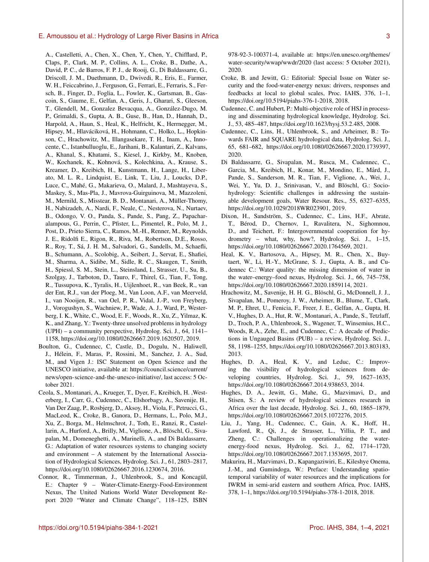A., Castelletti, A., Chen, X., Chen, Y., Chen, Y., Chifflard, P., Claps, P., Clark, M. P., Collins, A. L., Croke, B., Dathe, A., David, P. C., de Barros, F. P. J., de Rooij, G., Di Baldassarre, G., Driscoll, J. M., Duethmann, D., Dwivedi, R., Eris, E., Farmer, W. H., Feiccabrino, J., Ferguson, G., Ferrari, E., Ferraris, S., Fersch, B., Finger, D., Foglia, L., Fowler, K., Gartsman, B., Gascoin, S., Gaume, E., Gelfan, A., Geris, J., Gharari, S., Gleeson, T., Glendell, M., Gonzalez Bevacqua, A., González-Dugo, M. P., Grimaldi, S., Gupta, A. B., Guse, B., Han, D., Hannah, D., Harpold, A., Haun, S., Heal, K., Helfricht, K., Herrnegger, M., Hipsey, M., Hlaváciková, H., Hohmann, C., Holko, L., Hopkinson, C., Hrachowitz, M., Illangasekare, T. H., Inam, A., Innocente, C., Istanbulluoglu, E., Jarihani, B., Kalantari, Z., Kalvans, A., Khanal, S., Khatami, S., Kiesel, J., Kirkby, M., Knoben, W., Kochanek, K., Kohnová, S., Kolechkina, A., Krause, S., Kreamer, D., Kreibich, H., Kunstmann, H., Lange, H., Liberato, M. L. R., Lindquist, E., Link, T., Liu, J., Loucks, D.P., Luce, C., Mahé, G., Makarieva, O., Malard, J., Mashtayeva, S., Maskey, S., Mas-Pla, J., Mavrova-Guirguinova, M., Mazzoleni, M., Mernild, S., Misstear, B. D., Montanari, A., Müller-Thomy, H., Nabizadeh, A., Nardi, F., Neale, C., Nesterova, N., Nurtaev, B., Odongo, V. O., Panda, S., Pande, S., Pang, Z., Papacharalampous, G., Perrin, C., Pfister, L., Pimentel, R., Polo, M. J., Post, D., Prieto Sierra, C., Ramos, M.-H., Renner, M., Reynolds, J. E., Ridolfi E., Rigon, R., Riva, M., Robertson, D.E., Rosso, R., Roy, T., Sá, J. H. M., Salvadori, G., Sandells, M., Schaefli, B., Schumann, A., Scolobig, A., Seibert, J., Servat, E., Shafiei, M., Sharma, A., Sidibe, M., Sidle, R. C., Skaugen, T., Smith, H., Spiessl, S. M., Stein, L., Steinsland, I., Strasser, U., Su, B., Szolgay, J., Tarboton, D., Tauro, F., Thirel, G., Tian, F., Tong, R., Tussupova, K., Tyralis, H., Uijlenhoet, R., van Beek, R., van der Ent, R.J., van der Ploeg, M., Van Loon, A.F., van Meerveld, I., van Nooijen, R., van Oel, P. R., Vidal, J.-P., von Freyberg, J., Vorogushyn, S., Wachniew, P., Wade, A. J., Ward, P., Westerberg, I. K., White, C., Wood, E. F., Woods, R., Xu, Z., Yilmaz, K. K., and Zhang, Y.: Twenty-three unsolved problems in hydrology (UPH) – a community perspective, Hydrolog. Sci. J., 64, 1141– 1158, https://doi.org[/10.1080/02626667.2019.1620507,](https://doi.org/10.1080/02626667.2019.1620507) 2019.

- Boulton, G., Cudennec, C, Castle, D., Dogulu, N., Haliwell, J., Hélein, F., Maras, P., Rossini, M., Sanchez, J. A., Sud, M., and Vigen J.: ISC Statement on Open Science and the UNESCO initiative, available at: [https://council.science/current/](https://council.science/current/news/open-science-and-the-unesco-initiative/) [news/open-science-and-the-unesco-initiative/,](https://council.science/current/news/open-science-and-the-unesco-initiative/) last access: 5 October 2021.
- Ceola, S., Montanari, A., Krueger, T., Dyer, F., Kreibich, H. ,Westerberg, I., Carr, G., Cudennec, C., Elshorbagy, A., Savenije, H., Van Der Zaag, P., Rosbjerg, D., Aksoy, H., Viola, F., Petrucci, G., MacLeod, K., Croke, B., Ganora, D., Hermans, L., Polo, M.J., Xu, Z., Borga, M., Helmschrot, J., Toth, E., Ranzi, R., Castellarin, A., Hurford, A., Brilly, M., Viglione, A., Blöschl, G., Sivapalan, M., Domeneghetti, A., Marinelli, A., and Di Baldassarre, G.: Adaptation of water resources systems to changing society and environment – A statement by the International Association of Hydrological Sciences, Hydrolog. Sci. J., 61, 2803–2817, https://doi.org[/10.1080/02626667.2016.1230674,](https://doi.org/10.1080/02626667.2016.1230674) 2016.
- Connor, R., Timmerman, J., Uhlenbrook, S., and Koncagül, E.: Chapter 9 – Water-Climate-Energy-Food-Environment Nexus, The United Nations World Water Development Report 2020 "Water and Climate Change", 118–125, ISBN

978-92-3-100371-4, available at: [https://en.unesco.org/themes/](https://en.unesco.org/themes/water-security/wwap/wwdr/2020) [water-security/wwap/wwdr/2020](https://en.unesco.org/themes/water-security/wwap/wwdr/2020) (last access: 5 October 2021), 2020.

- Croke, B. and Jewitt, G.: Editorial: Special Issue on Water security and the food-water-energy nexus: drivers, responses and feedbacks at local to global scales, Proc. IAHS, 376, 1–1, https://doi.org[/10.5194/piahs-376-1-2018,](https://doi.org/10.5194/piahs-376-1-2018) 2018.
- Cudennec, C. and Hubert, P.: Multi-objective role of HSJ in processing and disseminating hydrological knowledge, Hydrolog. Sci. J., 53, 485–487, https://doi.org[/10.1623/hysj.53.2.485,](https://doi.org/10.1623/hysj.53.2.485) 2008.
- Cudennec, C., Lins, H., Uhlenbrook, S., and Arheimer, B.: Towards FAIR and SQUARE hydrological data, Hydrolog. Sci. J., 65, 681–682, https://doi.org[/10.1080/02626667.2020.1739397,](https://doi.org/10.1080/02626667.2020.1739397) 2020.
- Di Baldassarre, G., Sivapalan, M., Rusca, M., Cudennec, C., Garcia, M., Kreibich, H., Konar, M., Mondino, E., Mård, J., Pande, S., Sanderson, M. R., Tian, F., Viglione, A., Wei, J., Wei, Y., Yu, D. J., Srinivasan, V., and Blöschl, G.: Sociohydrology: Scientific challenges in addressing the sustainable development goals, Water Resour. Res., 55, 6327–6355, https://doi.org[/10.1029/2018WR023901,](https://doi.org/10.1029/2018WR023901) 2019.
- Dixon, H., Sandström, S., Cudennec, C., Lins, H.F., Abrate, T., Bérod, D., Chernov, I., Ravalitera, N., Sighomnou, D., and Teichert, F.: Intergovernmental cooperation for hydrometry – what, why, how?, Hydrolog. Sci. J., 1–15, https://doi.org[/10.1080/02626667.2020.1764569,](https://doi.org/10.1080/02626667.2020.1764569) 2021.
- Heal, K. V., Bartosova, A., Hipsey, M. R., Chen, X., Buytaert, W., Li, H.-Y., McGrane, S. J., Gupta, A. B., and Cudennec C.: Water quality: the missing dimension of water in the water–energy–food nexus, Hydrolog. Sci. J., 66, 745–758, https://doi.org[/10.1080/02626667.2020.1859114,](https://doi.org/10.1080/02626667.2020.1859114) 2021.
- Hrachowitz, M., Savenije, H. H. G., Blöschl, G., McDonnell, J. J., Sivapalan, M., Pomeroy, J. W., Arheimer, B., Blume, T., Clark, M. P., Ehret, U., Fenicia, F., Freer, J. E., Gelfan, A., Gupta, H. V., Hughes, D. A., Hut, R. W., Montanari, A., Pande, S., Tetzlaff, D., Troch, P. A., Uhlenbrook, S., Wagener, T., Winsemius, H.C., Woods, R.A., Zehe, E., and Cudennec, C.: A decade of Predictions in Ungauged Basins (PUB) – a review, Hydrolog. Sci. J., 58, 1198–1255, https://doi.org[/10.1080/02626667.2013.803183,](https://doi.org/10.1080/02626667.2013.803183) 2013.
- Hughes, D. A., Heal, K. V., and Leduc, C.: Improving the visibility of hydrological sciences from developing countries, Hydrolog. Sci. J., 59, 1627–1635, https://doi.org[/10.1080/02626667.2014.938653,](https://doi.org/10.1080/02626667.2014.938653) 2014.
- Hughes, D. A., Jewitt, G., Mahe, G., Mazvimavi, D., and Stisen, S.: A review of hydrological sciences research in Africa over the last decade, Hydrolog. Sci. J., 60, 1865–1879, https://doi.org[/10.1080/02626667.2015.1072276,](https://doi.org/10.1080/02626667.2015.1072276) 2015.
- Liu, J., Yang, H., Cudennec, C., Gain, A. K., Hoff, H., Lawford, R., Qi, J., de Strasser, L., Yillia, P. T., and Zheng, C.: Challenges in operationalizing the waterenergy-food nexus, Hydrolog. Sci. J., 62, 1714–1720, https://doi.org[/10.1080/02626667.2017.1353695,](https://doi.org/10.1080/02626667.2017.1353695) 2017.
- Makurira, H., Mazvimavi, D., Kapangaziwiri, E., Kileshye Onema, J.-M., and Gumindoga, W.: Preface: Understanding spatiotemporal variability of water resources and the implications for IWRM in semi-arid eastern and southern Africa, Proc. IAHS, 378, 1–1, https://doi.org[/10.5194/piahs-378-1-2018,](https://doi.org/10.5194/piahs-378-1-2018) 2018.